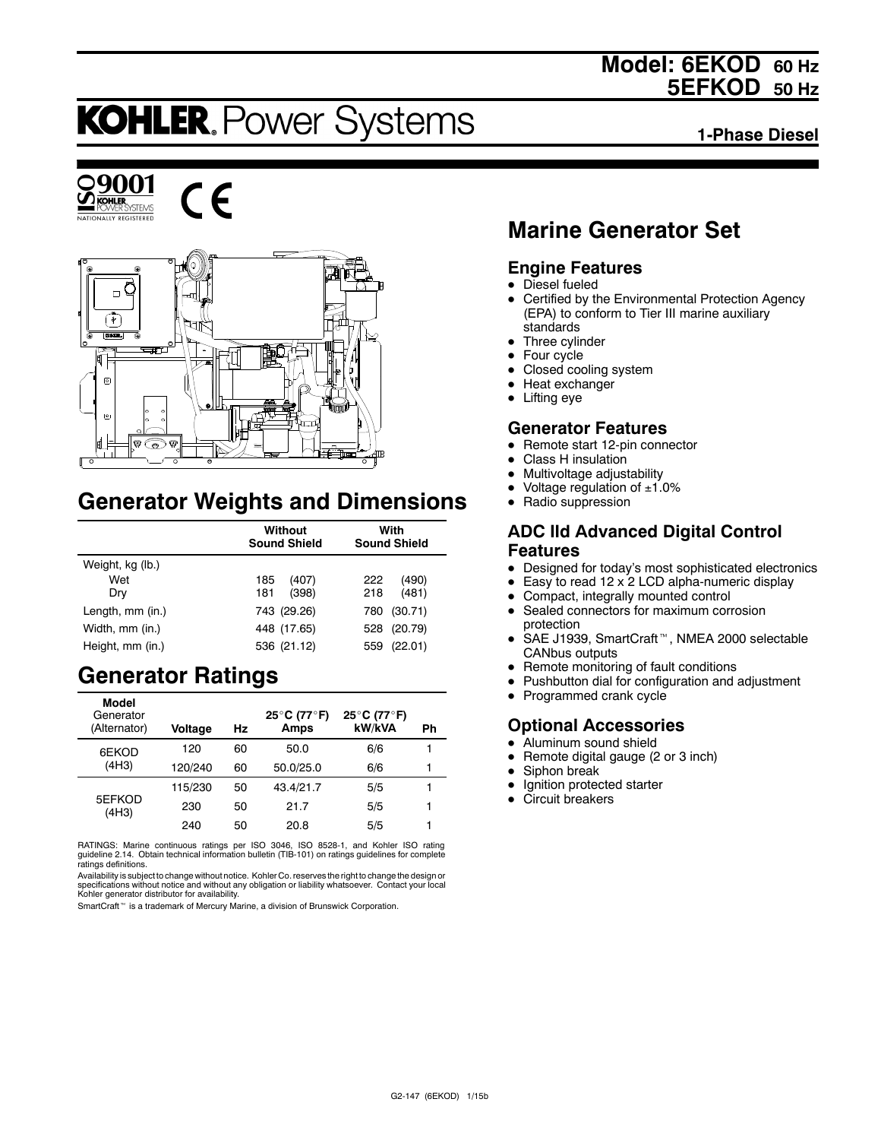## **Model: 6EKOD 60 Hz 5EFKOD 50 Hz**

# **KOHLER. Power Systems**

**1-Phase Diesel**







## **Generator Weights and Dimensions**

|                  | Without<br><b>Sound Shield</b> | With<br><b>Sound Shield</b> |  |
|------------------|--------------------------------|-----------------------------|--|
| Weight, kg (lb.) |                                |                             |  |
| Wet              | 185<br>(407)                   | (490)<br>222                |  |
| Dry              | 181<br>(398)                   | (481)<br>218                |  |
| Length, mm (in.) | 743 (29.26)                    | (30.71)<br>780              |  |
| Width, mm (in.)  | 448 (17.65)                    | (20.79)<br>528              |  |
| Height, mm (in.) | 536 (21.12)                    | (22.01)<br>559              |  |

## **Generator Ratings**

| Model<br>Generator<br>(Alternator) | Voltage | Hz | 25°C (77°F)<br>Amps | 25°C (77°F)<br>kW/kVA | Ph |
|------------------------------------|---------|----|---------------------|-----------------------|----|
| 6EKOD                              | 120     | 60 | 50.0                | 6/6                   |    |
| (4H3)                              | 120/240 | 60 | 50.0/25.0           | 6/6                   |    |
|                                    | 115/230 | 50 | 43.4/21.7           | 5/5                   |    |
| 5EFKOD<br>(4H3)                    | 230     | 50 | 21.7                | 5/5                   |    |
|                                    | 240     | 50 | 20.8                | 5/5                   |    |

RATINGS: Marine continuous ratings per ISO 3046, ISO 8528-1, and Kohler ISO rating guideline 2.14. Obtain technical information bulletin (TIB-101) on ratings guidelines for complete ratings definitions.

Availability is subject to change without notice. Kohler Co. reserves the right to change the design or<br>specifications without notice and without any obligation or liability whatsoever. Contact your local<br>Kohler generator

SmartCraft<sup>™</sup> is a trademark of Mercury Marine, a division of Brunswick Corporation.

## **Marine Generator Set**

#### **Engine Features**

- $\bullet$  Diesel fueled
- Certified by the Environmental Protection Agency (EPA) to conform to Tier III marine auxiliary standards
- Three cylinder
- $\bullet$  Four cycle
- Closed cooling system
- $\bullet$  Heat exchanger
- $\bullet$  Lifting eye

#### **Generator Features**

- Remote start 12-pin connector
- **Class H** insulation
- Multivoltage adjustability
- Voltage regulation of  $±1.0\%$
- Radio suppression

### **ADC IId Advanced Digital Control Features**

- Designed for today's most sophisticated electronics
- Easy to read  $12 \times 2$  LCD alpha-numeric display
- Compact, integrally mounted control
- Sealed connectors for maximum corrosion protection
- SAE J1939, SmartCraft<sup>™</sup>, NMEA 2000 selectable CANbus outputs
- Remote monitoring of fault conditions
- Pushbutton dial for configuration and adjustment
- $\bullet$  Programmed crank cycle

### **Optional Accessories**

- Aluminum sound shield
- $\bullet$  Remote digital gauge (2 or 3 inch)
- $\bullet$  Siphon break
- $\bullet$  Ignition protected starter
- Circuit breakers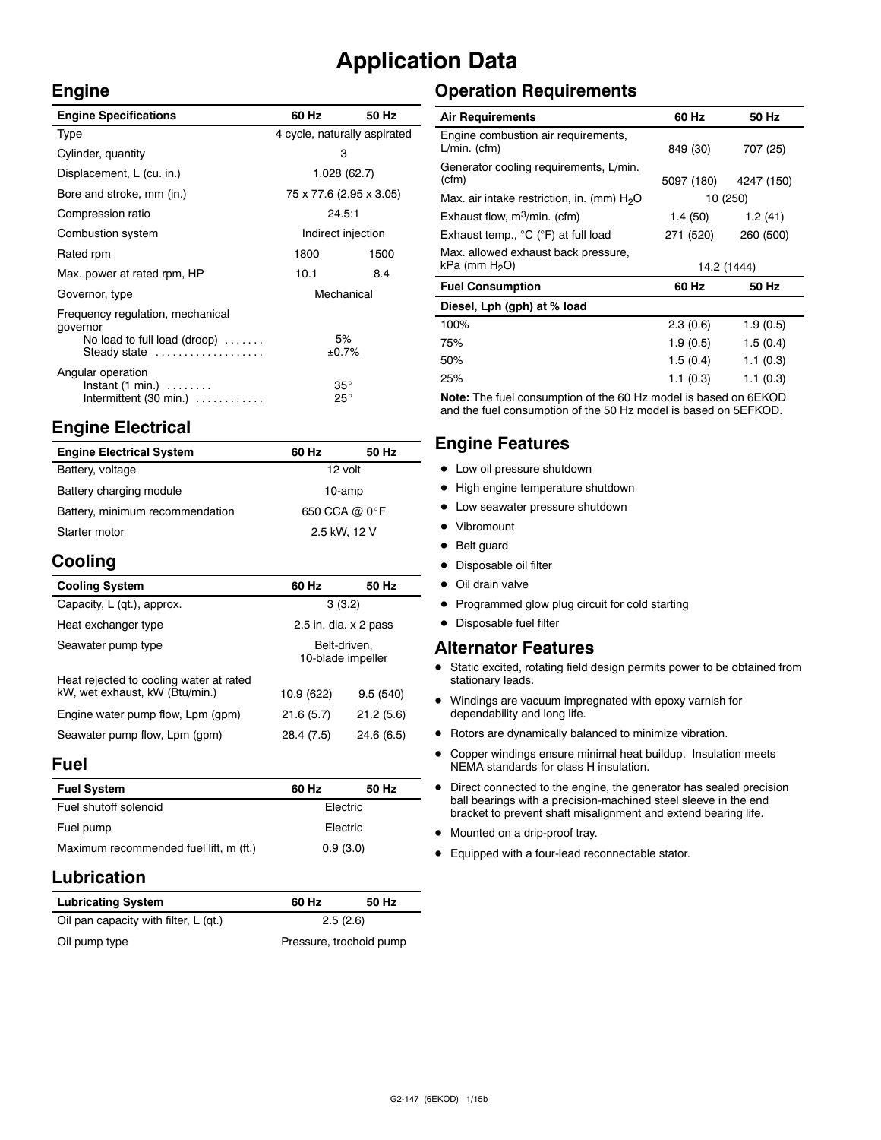## **Application Data**

#### **Engine**

| <b>Engine Specifications</b>                                                                                 | 60 Hz                        | 50 Hz |
|--------------------------------------------------------------------------------------------------------------|------------------------------|-------|
| Type                                                                                                         | 4 cycle, naturally aspirated |       |
| Cylinder, quantity                                                                                           | 3                            |       |
| Displacement, L (cu. in.)                                                                                    | 1.028(62.7)                  |       |
| Bore and stroke, mm (in.)                                                                                    | 75 x 77.6 (2.95 x 3.05)      |       |
| Compression ratio                                                                                            | 24.5:1                       |       |
| Combustion system                                                                                            | Indirect injection           |       |
| Rated rpm                                                                                                    | 1800                         | 1500  |
| Max. power at rated rpm, HP                                                                                  | 10.1                         | 8.4   |
| Governor, type                                                                                               | Mechanical                   |       |
| Frequency regulation, mechanical<br>governor<br>No load to full load (droop) $\ldots \ldots$<br>Steady state | 5%<br>±0.7%                  |       |
| Angular operation<br>$Instant (1 min.) \dots \dots$<br>Intermittent $(30 \text{ min.}) \dots \dots \dots$    | $35^{\circ}$<br>$25^{\circ}$ |       |

## **Engine Electrical**

| <b>Engine Electrical System</b> | 60 Hz         | 50 Hz |
|---------------------------------|---------------|-------|
| Battery, voltage                | 12 volt       |       |
| Battery charging module         | 10-amp        |       |
| Battery, minimum recommendation | 650 CCA @ 0°F |       |
| Starter motor                   | 2.5 kW, 12 V  |       |

## **Cooling**

| <b>Cooling System</b>                                                     | 60 Hz                             | 50 Hz      |
|---------------------------------------------------------------------------|-----------------------------------|------------|
| Capacity, L (qt.), approx.                                                | 3(3.2)                            |            |
| Heat exchanger type                                                       | 2.5 in. dia. $\times$ 2 pass      |            |
| Seawater pump type                                                        | Belt-driven.<br>10-blade impeller |            |
| Heat rejected to cooling water at rated<br>kW, wet exhaust, kW (Btu/min.) | 10.9 (622)                        | 9.5(540)   |
| Engine water pump flow, Lpm (gpm)                                         | 21.6(5.7)                         | 21.2(5.6)  |
| Seawater pump flow, Lpm (gpm)                                             | 28.4 (7.5)                        | 24.6 (6.5) |

#### **Fuel**

| <b>Fuel System</b>                     | 60 Hz    | 50 Hz |
|----------------------------------------|----------|-------|
| Fuel shutoff solenoid                  | Electric |       |
| Fuel pump                              | Electric |       |
| Maximum recommended fuel lift, m (ft.) | 0.9(3.0) |       |

### **Lubrication**

| <b>Lubricating System</b>             | 60 Hz                   | 50 Hz |
|---------------------------------------|-------------------------|-------|
| Oil pan capacity with filter, L (qt.) | 2.5(2.6)                |       |
| Oil pump type                         | Pressure, trochoid pump |       |

## **Operation Requirements**

| <b>Air Requirements</b>                                          | 60 Hz       | 50 Hz      |
|------------------------------------------------------------------|-------------|------------|
| Engine combustion air requirements,<br>$L/min.$ (cfm)            | 849 (30)    | 707 (25)   |
| Generator cooling requirements, L/min.<br>(cfm)                  | 5097 (180)  | 4247 (150) |
| Max. air intake restriction, in. (mm) $H2O$                      | 10 (250)    |            |
| Exhaust flow, $m^3/m$ in. (cfm)                                  | 1.4 (50)    | 1.2(41)    |
| Exhaust temp., °C (°F) at full load                              | 271 (520)   | 260 (500)  |
| Max. allowed exhaust back pressure,<br>kPa (mm H <sub>2</sub> O) | 14.2 (1444) |            |
| <b>Fuel Consumption</b>                                          | 60 Hz       | 50 Hz      |
| Diesel, Lph (gph) at % load                                      |             |            |
| 100%                                                             | 2.3(0.6)    | 1.9(0.5)   |
| 75%                                                              | 1.9(0.5)    | 1.5(0.4)   |
| 50%                                                              | 1.5(0.4)    | 1.1(0.3)   |
| 25%                                                              | 1.1(0.3)    | 1.1(0.3)   |

**Note:** The fuel consumption of the 60 Hz model is based on 6EKOD and the fuel consumption of the 50 Hz model is based on 5EFKOD.

### **Engine Features**

- Low oil pressure shutdown
- High engine temperature shutdown
- Low seawater pressure shutdown
- Vibromount
- $\bullet$  Belt guard
- Disposable oil filter
- Oil drain valve
- Programmed glow plug circuit for cold starting
- Disposable fuel filter

#### **Alternator Features**

- Static excited, rotating field design permits power to be obtained from stationary leads.
- $\bullet$  Windings are vacuum impregnated with epoxy varnish for dependability and long life.
- $\bullet$  Rotors are dynamically balanced to minimize vibration.
- Copper windings ensure minimal heat buildup. Insulation meets NEMA standards for class H insulation.
- Direct connected to the engine, the generator has sealed precision ball bearings with a precision-machined steel sleeve in the end bracket to prevent shaft misalignment and extend bearing life.
- $\bullet$  Mounted on a drip-proof tray.
- $\bullet$  Equipped with a four-lead reconnectable stator.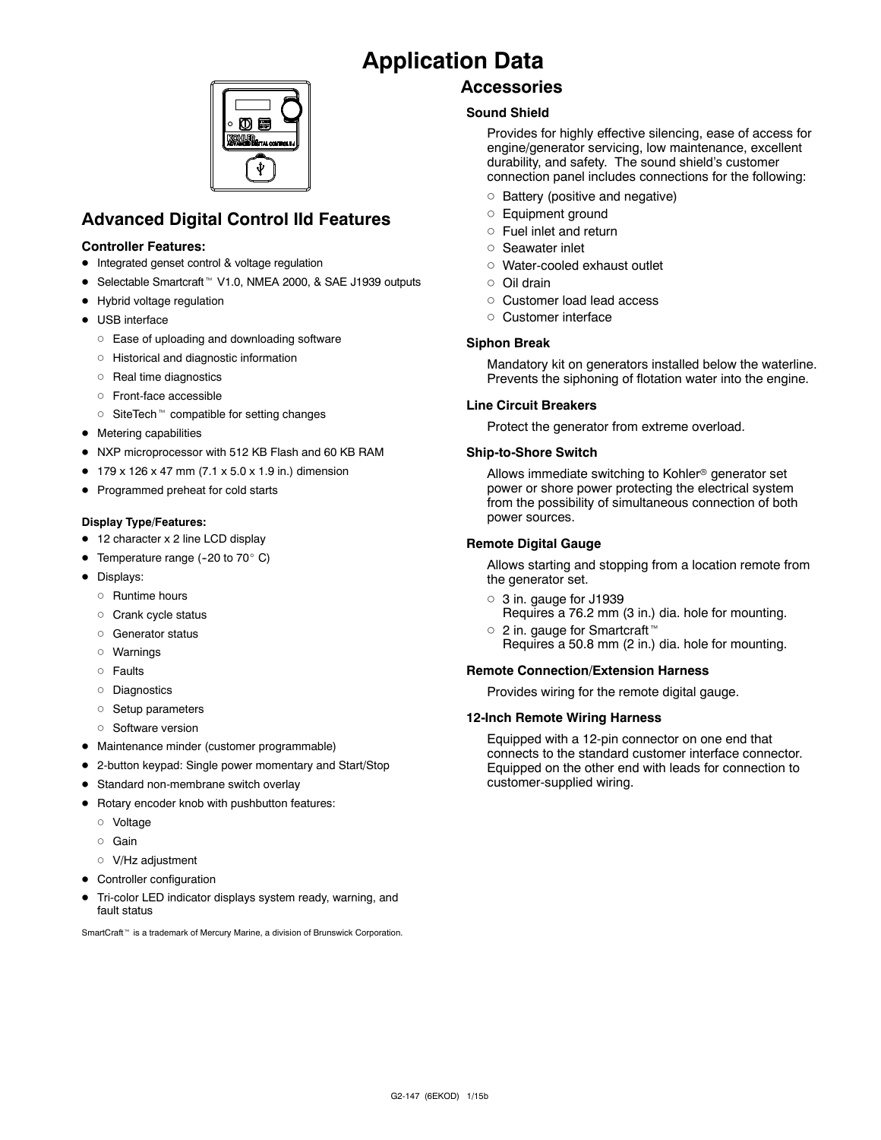## **Application Data**



## **Advanced Digital Control IId Features**

#### **Controller Features:**

- Integrated genset control & voltage regulation
- Selectable Smartcraft<sup>™</sup> V1.0, NMEA 2000, & SAE J1939 outputs
- Hybrid voltage regulation
- USB interface
	- o Ease of uploading and downloading software
	- d Historical and diagnostic information
	- o Real time diagnostics
	- d Front-face accessible
	- SiteTech<sup>™</sup> compatible for setting changes
- $\bullet$  Metering capabilities
- NXP microprocessor with 512 KB Flash and 60 KB RAM
- $\bullet$  179 x 126 x 47 mm (7.1 x 5.0 x 1.9 in.) dimension
- Programmed preheat for cold starts

#### **Display Type/Features:**

- 12 character x 2 line LCD display
- Temperature range (-20 to 70 $^{\circ}$  C)
- Displays:
	- o Runtime hours
	- o Crank cycle status
	- o Generator status
	- d Warnings
	- $\circ$  Faults
	- o Diagnostics
	- o Setup parameters
	- o Software version
- Maintenance minder (customer programmable)
- 2-button keypad: Single power momentary and Start/Stop
- **•** Standard non-membrane switch overlay
- $\bullet$  Rotary encoder knob with pushbutton features:
	- d Voltage
	- o Gain
	- o V/Hz adjustment
- Controller configuration
- Tri-color LED indicator displays system ready, warning, and fault status

SmartCraft<sup>™</sup> is a trademark of Mercury Marine, a division of Brunswick Corporation.

### **Accessories**

#### **Sound Shield**

Provides for highly effective silencing, ease of access for engine/generator servicing, low maintenance, excellent durability, and safety. The sound shield's customer connection panel includes connections for the following:

- $\circ$  Battery (positive and negative)
- o Equipment ground
- $\circ$  Fuel inlet and return
- o Seawater inlet
- o Water-cooled exhaust outlet
- d Oil drain
- o Customer load lead access
- o Customer interface

#### **Siphon Break**

Mandatory kit on generators installed below the waterline. Prevents the siphoning of flotation water into the engine.

#### **Line Circuit Breakers**

Protect the generator from extreme overload.

#### **Ship-to-Shore Switch**

Allows immediate switching to Kohler<sup>®</sup> generator set power or shore power protecting the electrical system from the possibility of simultaneous connection of both power sources.

#### **Remote Digital Gauge**

Allows starting and stopping from a location remote from the generator set.

- $\circ$  3 in. gauge for J1939 Requires a 76.2 mm (3 in.) dia. hole for mounting.
- $\circ$  2 in. gauge for Smartcraft<sup>™</sup> Requires a 50.8 mm (2 in.) dia. hole for mounting.

#### **Remote Connection/Extension Harness**

Provides wiring for the remote digital gauge.

#### **12-Inch Remote Wiring Harness**

Equipped with a 12-pin connector on one end that connects to the standard customer interface connector. Equipped on the other end with leads for connection to customer-supplied wiring.